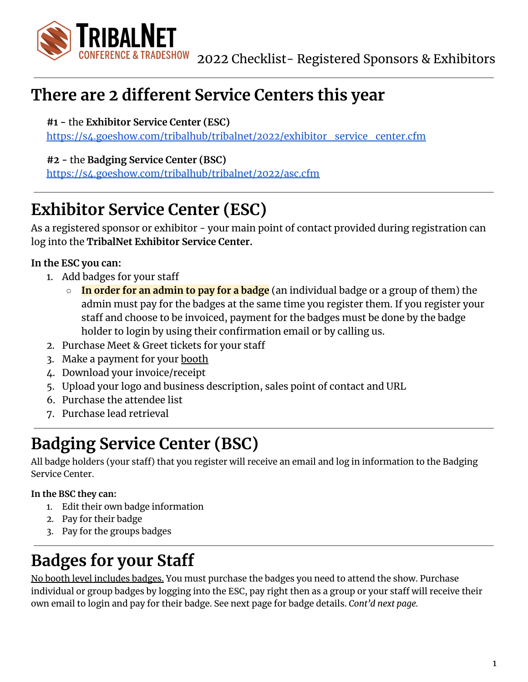

# **There are 2 different Service Centers this year**

**#1 -** the **Exhibitor Service Center (ESC)**

[https://s4.goeshow.com/tribalhub/tribalnet/2022/exhibitor\\_service\\_center.cfm](https://s4.goeshow.com/tribalhub/tribalnet/2022/exhibitor_service_center.cfm)

**#2 -** the **Badging Service Center (BSC)**

<https://s4.goeshow.com/tribalhub/tribalnet/2022/asc.cfm>

# **Exhibitor Service Center (ESC)**

As a registered sponsor or exhibitor - your main point of contact provided during registration can log into the **TribalNet Exhibitor Service Center.**

**In the ESC you can:**

- 1. Add badges for your staff
	- **In order for an admin to pay for a badge** (an individual badge or a group of them) the admin must pay for the badges at the same time you register them. If you register your staff and choose to be invoiced, payment for the badges must be done by the badge holder to login by using their confirmation email or by calling us.
- 2. Purchase Meet & Greet tickets for your staff
- 3. Make a payment for your booth
- 4. Download your invoice/receipt
- 5. Upload your logo and business description, sales point of contact and URL
- 6. Purchase the attendee list
- 7. Purchase lead retrieval

# **Badging Service Center (BSC)**

All badge holders (your staff) that you register will receive an email and log in information to the Badging Service Center.

#### **In the BSC they can:**

- 1. Edit their own badge information
- 2. Pay for their badge
- 3. Pay for the groups badges

# **Badges for your Staff**

No booth level includes badges. You must purchase the badges you need to attend the show. Purchase individual or group badges by logging into the ESC, pay right then as a group or your staff will receive their own email to login and pay for their badge. See next page for badge details. *Cont'd next page.*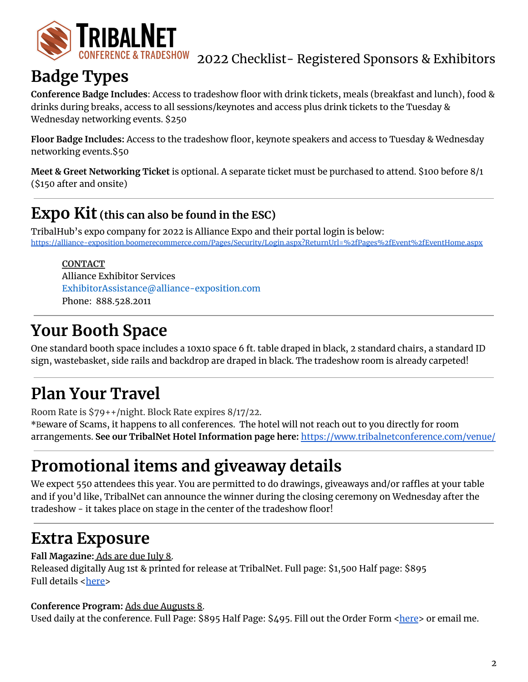

#### 2022 Checklist- Registered Sponsors & Exhibitors

### **Badge Types**

**Conference Badge Includes**: Access to tradeshow floor with drink tickets, meals (breakfast and lunch), food & drinks during breaks, access to all sessions/keynotes and access plus drink tickets to the Tuesday & Wednesday networking events. \$250

**Floor Badge Includes:** Access to the tradeshow floor, keynote speakers and access to Tuesday & Wednesday networking events.\$50

**Meet & Greet Networking Ticket** is optional. A separate ticket must be purchased to attend. \$100 before 8/1 (\$150 after and onsite)

#### **Expo Kit (this can also be found in the ESC)**

TribalHub's expo company for 2022 is Alliance Expo and their portal login is below: <https://alliance-exposition.boomerecommerce.com/Pages/Security/Login.aspx?ReturnUrl=%2fPages%2fEvent%2fEventHome.aspx>

**CONTACT** Alliance Exhibitor Services ExhibitorAssistance@alliance-exposition.com Phone: 888.528.2011

### **Your Booth Space**

One standard booth space includes a 10x10 space 6 ft. table draped in black, 2 standard chairs, a standard ID sign, wastebasket, side rails and backdrop are draped in black. The tradeshow room is already carpeted!

# **Plan Your Travel**

Room Rate is \$79++/night. Block Rate expires 8/17/22.

**\***Beware of Scams, it happens to all conferences. The hotel will not reach out to you directly for room arrangements. **See our TribalNet Hotel Information page here:** <https://www.tribalnetconference.com/venue/>

# **Promotional items and giveaway details**

We expect 550 attendees this year. You are permitted to do drawings, giveaways and/or raffles at your table and if you'd like, TribalNet can announce the winner during the closing ceremony on Wednesday after the tradeshow - it takes place on stage in the center of the tradeshow floor!

# **Extra Exposure**

**Fall Magazine:** Ads are due July 8.

Released digitally Aug 1st & printed for release at TribalNet. Full page: \$1,500 Half page: \$895 Full details <[here>](https://www.tribalhub.com/wp-content/uploads/2020/12/AdvertisersGuide_interactive_04292021_THub.opt_.pdf)

#### **Conference Program:** Ads due Augusts 8.

Used daily at the conference. Full Page: \$895 Half Page: \$495. Fill out the Order Form [<here](https://www.tribalhub.com/wp-content/uploads/2020/08/AdvertisersGuide_OrderForm_interactive_02232021_THub_opt.pdf)> or email me.